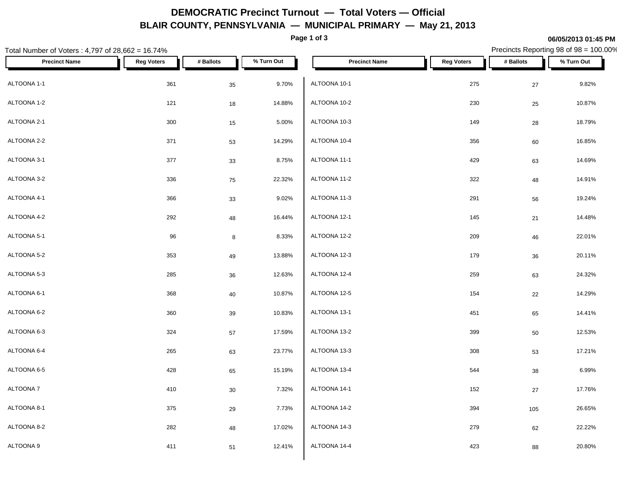## **DEMOCRATIC Precinct Turnout — Total Voters — Official BLAIR COUNTY, PENNSYLVANIA — MUNICIPAL PRIMARY — May 21, 2013**

**Page 1 of 3**

**06/05/2013 01:45 PM**

#### Total Number of Voters : 4,797 of 28,662 = 16.74% Precincts Reporting 98 of 98 = 100.00% **Precinct Name Reg Voters # Ballots % Turn Out Precinct Name Reg Voters # Ballots % Turn Out** ALTOONA 1-1 361 35 9.70% ALTOONA 1-2 121 18 14.88%  $\textsf{ALTOONA 10-3} \quad \textsf{300} \quad \textsf{45} \quad \textsf{5.00\%} \quad \textsf{ALTOONA 10-3}$ ALTOONA 2-2 371 53 14.29% ALTOONA 3-1 377 33 8.75% ALTOONA 3-2 336 75 22.32% ALTOONA 4-1 366 33 9.02% ALTOONA 4-2 292 48 16.44% ALTOONA 5-1 96 8 8.33% ALTOONA 5-2 353 49 13.88% ALTOONA 5-3 285 36 12.63% ALTOONA 6-1 368 40 10.87% ALTOONA 6-2 360 39 10.83% ALTOONA 6-3 324 57 17.59% ALTOONA 6-4 265 63 23.77%  $\rm ALTOONA\ 6-5$  65 15.19%  $\rm ALTOONA\ 13-4$  $\begin{array}{ccccccc} \textsf{ALTOONA 14-1} & & & & \textsf{410} & & & \textsf{30} & & \textsf{7.32\%} & \textsf{ALTOONA 14-1} \end{array}$ ALTOONA 8-1 375 29 7.73% ALTOONA 8-2 282 48 17.02% ALTOONA 9 411 51 12.41% ALTOONA 10-1 275 27 9.82% ALTOONA 10-2 230 25 10.87% ALTOONA 10-3 149 28 18.79%  $\rm ALTOON$ A 10-4  $\rm 356$   $\rm 60$   $\rm 16.85\%$ ALTOONA 11-1 429 63 14.69% ALTOONA 11-2 322 48 14.91% ALTOONA 11-3 291 56 19.24% ALTOONA 12-1 14.48% and the contract of the contract of the contract of the contract of the contract of the contract of the contract of the contract of the contract of the contract of the contract of the contract of the ALTOONA 12-2 209 46 22.01% ALTOONA 12-3 179 36 20.11% ALTOONA 12-4 259 63 24.32% ALTOONA 12-5 154 22 14.29% ALTOONA 13-1 451 65 14.41%  $\rm ALTOONA\ 13-2$   $\rm 399$   $\rm 50$   $\rm 12.53\%$ ALTOONA 13-3 308 53 17.21%  $ALTOONA$  13-4  $38$  6.99% ALTOONA 14-1 152 27 17.76% ALTOONA 14-2 394 105 26.65% ALTOONA 14-3 279 62 22.22% ALTOONA 14-4 23 20.80% and the set of the set of the set of the set of the set of the set of the set of the set of the set of the set of the set of the set of the set of the set of the set of the set of the set of the set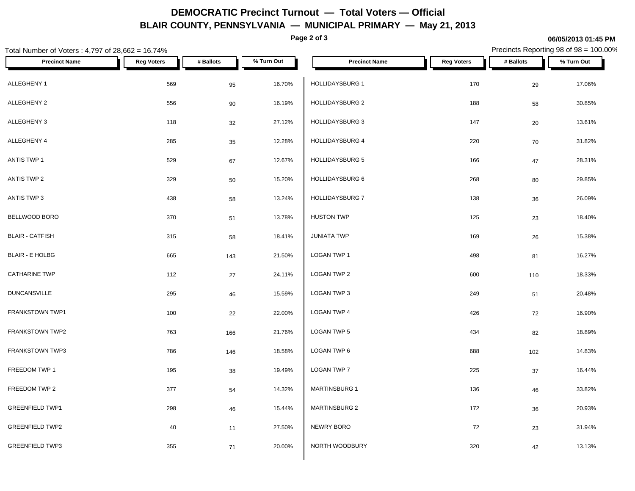# **DEMOCRATIC Precinct Turnout — Total Voters — Official BLAIR COUNTY, PENNSYLVANIA — MUNICIPAL PRIMARY — May 21, 2013**

**Page 2 of 3**

### **06/05/2013 01:45 PM**

Precincts Reporting 98 of 98 = 100.00%

| Total Number of Voters: 4,797 of 28,662 = 16.74% |                   |           |            |                        |                   | Precincts Reporting 98 of 98 = 100.00% |            |
|--------------------------------------------------|-------------------|-----------|------------|------------------------|-------------------|----------------------------------------|------------|
| <b>Precinct Name</b>                             | <b>Reg Voters</b> | # Ballots | % Turn Out | <b>Precinct Name</b>   | <b>Reg Voters</b> | # Ballots                              | % Turn Out |
| ALLEGHENY 1                                      | 569               | 95        | 16.70%     | HOLLIDAYSBURG 1        | 170               | 29                                     | 17.06%     |
| ALLEGHENY 2                                      | 556               | 90        | 16.19%     | <b>HOLLIDAYSBURG 2</b> | 188               | 58                                     | 30.85%     |
| ALLEGHENY 3                                      | 118               | 32        | 27.12%     | <b>HOLLIDAYSBURG 3</b> | 147               | 20                                     | 13.61%     |
| ALLEGHENY 4                                      | 285               | 35        | 12.28%     | HOLLIDAYSBURG 4        | 220               | 70                                     | 31.82%     |
| ANTIS TWP 1                                      | 529               | 67        | 12.67%     | HOLLIDAYSBURG 5        | 166               | $47\,$                                 | 28.31%     |
| ANTIS TWP 2                                      | 329               | 50        | 15.20%     | HOLLIDAYSBURG 6        | 268               | 80                                     | 29.85%     |
| ANTIS TWP 3                                      | 438               | 58        | 13.24%     | HOLLIDAYSBURG 7        | 138               | 36                                     | 26.09%     |
| BELLWOOD BORO                                    | 370               | 51        | 13.78%     | <b>HUSTON TWP</b>      | 125               | 23                                     | 18.40%     |
| <b>BLAIR - CATFISH</b>                           | 315               | 58        | 18.41%     | <b>JUNIATA TWP</b>     | 169               | $26\,$                                 | 15.38%     |
| <b>BLAIR - E HOLBG</b>                           | 665               | 143       | 21.50%     | LOGAN TWP 1            | 498               | 81                                     | 16.27%     |
| <b>CATHARINE TWP</b>                             | 112               | 27        | 24.11%     | LOGAN TWP 2            | 600               | 110                                    | 18.33%     |
| <b>DUNCANSVILLE</b>                              | 295               | 46        | 15.59%     | LOGAN TWP 3            | 249               | 51                                     | 20.48%     |
| FRANKSTOWN TWP1                                  | 100               | 22        | 22.00%     | <b>LOGAN TWP 4</b>     | 426               | 72                                     | 16.90%     |
| FRANKSTOWN TWP2                                  | 763               | 166       | 21.76%     | LOGAN TWP 5            | 434               | 82                                     | 18.89%     |
| FRANKSTOWN TWP3                                  | 786               | 146       | 18.58%     | LOGAN TWP 6            | 688               | 102                                    | 14.83%     |
| FREEDOM TWP 1                                    | 195               | 38        | 19.49%     | LOGAN TWP 7            | 225               | $37\,$                                 | 16.44%     |
| FREEDOM TWP 2                                    | 377               | 54        | 14.32%     | MARTINSBURG 1          | 136               | 46                                     | 33.82%     |
| <b>GREENFIELD TWP1</b>                           | 298               | 46        | 15.44%     | MARTINSBURG 2          | 172               | 36                                     | 20.93%     |
| <b>GREENFIELD TWP2</b>                           | 40                | 11        | 27.50%     | NEWRY BORO             | 72                | 23                                     | 31.94%     |
| <b>GREENFIELD TWP3</b>                           | 355               | 71        | 20.00%     | NORTH WOODBURY         | 320               | 42                                     | 13.13%     |
|                                                  |                   |           |            |                        |                   |                                        |            |